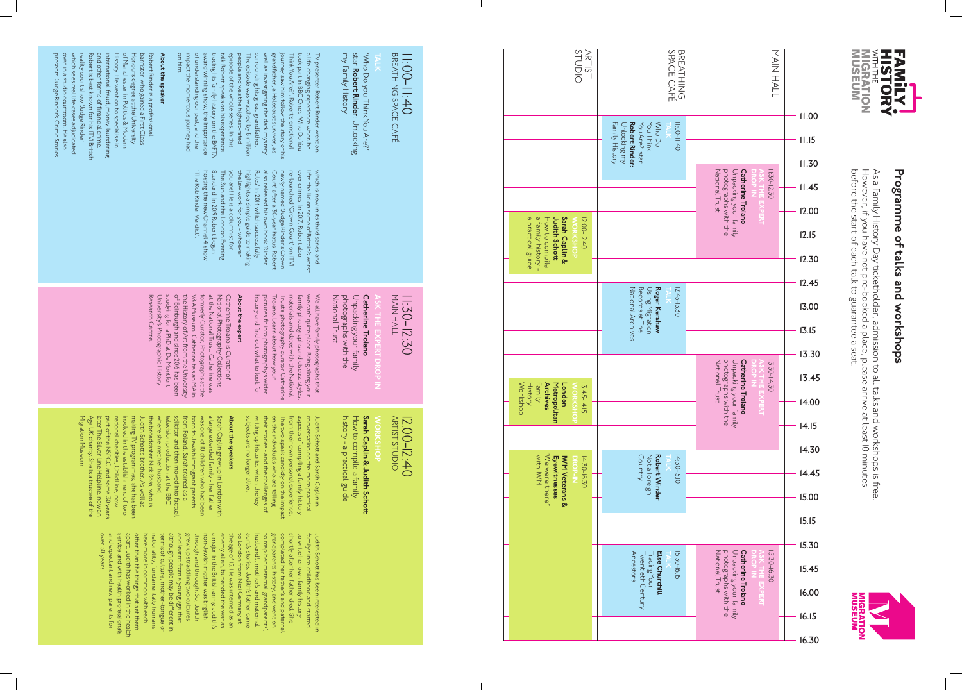



| STUDIC<br><b>ARTIST</b>                                                                                                          | SPACE CAFÉ<br><b>BREATHING</b>                                                                                          |
|----------------------------------------------------------------------------------------------------------------------------------|-------------------------------------------------------------------------------------------------------------------------|
|                                                                                                                                  | <b>Robert Rinder:</b><br>Unlocking my<br>Family History<br>Who Do<br>You Think<br>You Are?' star<br>11:00-11.40<br>TALK |
|                                                                                                                                  |                                                                                                                         |
| a practical guide<br>a family history -<br>Sarah Caplin &<br>How to compile<br><b>Judith Schott</b><br>$12:00-12.40$<br>VORKSHOP |                                                                                                                         |
|                                                                                                                                  | National Archives<br>Records at The<br>$12.45 - 13.30$<br>Using Migration<br>Roger Kershaw<br>TALK                      |
| London<br>M <del>u</del> tropolitan<br>Archives<br>Finnily<br>History<br>Workshop<br>$13.45 - 14.15$<br>VORKSHOP                 |                                                                                                                         |
| "We were there"<br>with IWM<br>Eyewitnesses<br><b>IWM Veterans &amp;</b><br>14.30-16.30<br>N-dop-IN                              | <b>Country</b><br><b>Robert Winder</b><br>14:30-I5.I0<br>Not a Foreign<br><b>TALK</b>                                   |
|                                                                                                                                  | Ancestors<br>Else Churchill<br>I5:30-l6.I5<br>Tracing Your<br>Twentieth Century                                         |
|                                                                                                                                  |                                                                                                                         |

However, if you have not pre-booked a place, please arrive at least I0 minutes<br>before the start of each talk to guarantee a seat. As a Family History Day ticketholder, admission to all talks and workshops is free. before the start of each talk to guarantee a seat. However, if you have not pre-booked a place, please arrive at least 10 minutes As a Family History Day ticketholder, admission to all talks and workshops is free.



# Programme of talks and workshops **Programme of talks and workshops**

Robert Rinder is a professional<br>barrister, who gained a First Class<br>Honours degree at the University<br>of Manchester in Politics & Modern<br>History. He went on to specialse in<br>international fraud, money laundering<br>and other fo presents 'Judge Rinder's Crime Stories' over in a studio courtroom. He also which sees real life cases adjudicated reality court show 'Judge Rinder' Robert is best known for his ITV1 British and other forms of financial crime. international fraud, money laundering History. He went on to specialise in of Manchester in Politics & Modern Honours degree at the University barrister, who gained a First Class Robert Rinder is a professional

#### **About the speaker**  About the speaker

TV presenter Robert Rinder went on<br>a life-changing experience when he<br>took part in BBC Ones' Who DoYou<br>protrien BBC Ones' Who DoYou<br>protriens saw him follow the story of his<br>prandfather, a Holocaust survivor, as<br>well as i on him journey saw him follow the story of his on him. impact the momentous journey had of understanding our past, and the award winning show, the importance tracing his family history on the BAFTA talk Robert speaks on his experience episode of the whole series. In this people and was the highest-rated The episode was watched by 8 million surrounding his great-grandfather. well as investigating the dark mystery grandfather, a Holocaust survivor, as Think You Are?'. Robert's emotional took part in BBC One's 'Who Do You a life-changing experience when he TV presenter Robert Rinder went on

born to Jewish immigrant parents<br>from Poland. Sarah trained as a<br>solicitor and then moved into factual<br>television production at the BBC<br>where she met her husband.<br>the broadcaster Nick Ross, who is<br>indith Schott's brother. Sarah Caplin grew up in London with<br>a large extended family – her father<br>was one of 10 children who had been<br>London Hard to Hildren who had been Age UK charity. She is a trustee of the Judith Schott's brother. As well as the broadcaster Nick Ross, who is where she met her husband, television production at the BBC solicitor and then moved into factual from Poland. Sarah trained as a was one of 10 children who had been a large extended family - her father Sarah Caplin grew up in London with Migration Museum. later The Silver Line Helpline, now an part of the NSPCC and some 30 years national charities, ChildLine, now involved in the establishment of two making TV programmes, she has been born to Jewish immigrant parents

conversation on the more practical<br>aspects of compiling a family history,<br>from their own personal experience.<br>The two speak candidly on the impact<br>on the individuals who are telling<br>their stories - and the challenges of<br>wr About the speakers **About the speakers** subjects are no longer alive. writing up histories when the key their stories - and the challenges of on the individuals who are telling The two speak candidly on the impact from their own personal experience. aspects of compiling a family history, conversation on the more practical Judith Schott and Sarah Caplin in Judith Schott and Sarah Caplin in

Judith Schott has been interested in<br>
bouth Schott has been interested in<br>
formily since childhood and started<br>
sprange per rather's and paternal<br>
grandparents bistory, and went on<br>
but the nege of iS. He was interned as and expectant and new parents for service and with health professionals apart. Judith has worked in the health other than the things that set them have more in common with each nationality, fundamentally humans terms of culture, mother-tongue or although people may be different in and learnt from a young age that grew up straddling two cultures through and through. So, Judith non-Jewish mother was English a major in the British army. Judith's enemy alien, but ended the war as the age of 15. He was interned as an to London from Nazi Germany at aunt's stories. Judith's father came husband's, mother's and maternal to map her maternal grandparents', grandparents history, and went on completed her father's and paternal shortly after her father died. She to write her own family history family since childhood and started Judith Schott has been interested in

Catherine Troiano is Curator of<br>National Photography Collections<br>at the National Trust. Catherine was<br>formerly Curator, Photographs at the<br>V&A Museum. Catherine has an MA in<br>the History of Art from the University<br>studying the History of Art from the University V&A Museum. Catherine has an MA in formerly Curator, Photographs at the Research Centre. University's Photographic History studying for a PhD at De Montfort of Edinburgh and since 2016 has been at the National Trust. Catherine was National Photography Collections Catherine Troiano is Curator of

#### **About the expert** About the expert

which is now in its third series and<br>the term of some of Britanis worst<br>the term of correction court on ITV,<br>re-Jaunched 'Crown Court on ITV,<br>court after a 30-year hiatus. Robert<br>also released his own book 'Rinder<br>subles' 'The Rob Rinder Verdict'. hosting the new Channel 4 show Standard. In 2019 Robert began The Sun and the London Evening you are! He is a columnist for the law work for you - whoever highlights a simple guide to making Rules' in 2014 which successfully also released his own book 'Rinder Court' after a 30-year hiatus. Robert newly named 'Judge Rinder's Crown re-launched 'Crown Court' on ITV1, ever crimes. In 2017, Robert also lifts the lid on some of Britain's worst which is now in its third series and

#### **BREATHING SPACE CAFÉ** BREATHING SPACE CAFÉ  $11:00-11:40$ 11:00-11:40

my Family History my Family History star 'Who Do you Think You Are?' H<br>K **Robert Rinder**: Unlocking

history - a practical guide How to compile a family Sarah Caplin & Judith Schott **Sarah Caplin & Judith Schott NORKSHOP** history - a practical guide How to compile a family

#### **ARTIST STUDIO** ARTIST STUDIO  $12.00 - 12.40$ 12.00-12:40

Trust's photography curator Catherine<br>Troiano. Learn about how your<br>pictures fit into photography's wider<br>history and find out what to look for. We all have family photographs that<br>we can't quite place. Bring along your<br>family photographs and discuss styles,<br>materials and dates with the National Trust's photography curator Catherine family photographs and discuss styles, we can't quite place. Bring along your We all have family photographs that materials and dates with the National National Trust

Unpacking your family<br>photographs with the<br>National Trust ASK THE EXPERT DROP IN Unpacking your family **Catherine Troiano Catherine Troiano**

 $11:50 - 12:30$ **NAIN HALL** MAIN HALL

over 50 years.

history and find out what to look for. pictures fit into photography's wider Troiano. Learn about how your photographs with the

# 11:30-12:30